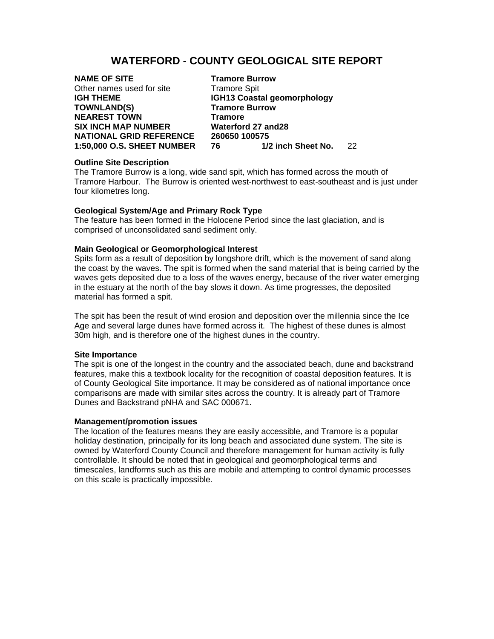# **WATERFORD - COUNTY GEOLOGICAL SITE REPORT**

| <b>NAME OF SITE</b>            |   |
|--------------------------------|---|
| Other names used for site      | т |
| <b>IGH THEME</b>               | K |
| <b>TOWNLAND(S)</b>             | Т |
| <b>NEAREST TOWN</b>            | т |
| <b>SIX INCH MAP NUMBER</b>     | V |
| <b>NATIONAL GRID REFERENCE</b> | 2 |
| 1:50,000 O.S. SHEET NUMBER     | 7 |

**Tramore Burrow** Tramore Spit **IGH13 Coastal geomorphology Tramore Burrow Tramore SIX INCH MAP NUMBER Waterford 27 and28**   $0.60650$  100575 **1:50,000 O.S. SHEET NUMBER 76 1/2 inch Sheet No.** 22

## **Outline Site Description**

The Tramore Burrow is a long, wide sand spit, which has formed across the mouth of Tramore Harbour. The Burrow is oriented west-northwest to east-southeast and is just under four kilometres long.

### **Geological System/Age and Primary Rock Type**

The feature has been formed in the Holocene Period since the last glaciation, and is comprised of unconsolidated sand sediment only.

### **Main Geological or Geomorphological Interest**

Spits form as a result of deposition by longshore drift, which is the movement of sand along the coast by the waves. The spit is formed when the sand material that is being carried by the waves gets deposited due to a loss of the waves energy, because of the river water emerging in the estuary at the north of the bay slows it down. As time progresses, the deposited material has formed a spit.

The spit has been the result of wind erosion and deposition over the millennia since the Ice Age and several large dunes have formed across it. The highest of these dunes is almost 30m high, and is therefore one of the highest dunes in the country.

### **Site Importance**

The spit is one of the longest in the country and the associated beach, dune and backstrand features, make this a textbook locality for the recognition of coastal deposition features. It is of County Geological Site importance. It may be considered as of national importance once comparisons are made with similar sites across the country. It is already part of Tramore Dunes and Backstrand pNHA and SAC 000671.

#### **Management/promotion issues**

The location of the features means they are easily accessible, and Tramore is a popular holiday destination, principally for its long beach and associated dune system. The site is owned by Waterford County Council and therefore management for human activity is fully controllable. It should be noted that in geological and geomorphological terms and timescales, landforms such as this are mobile and attempting to control dynamic processes on this scale is practically impossible.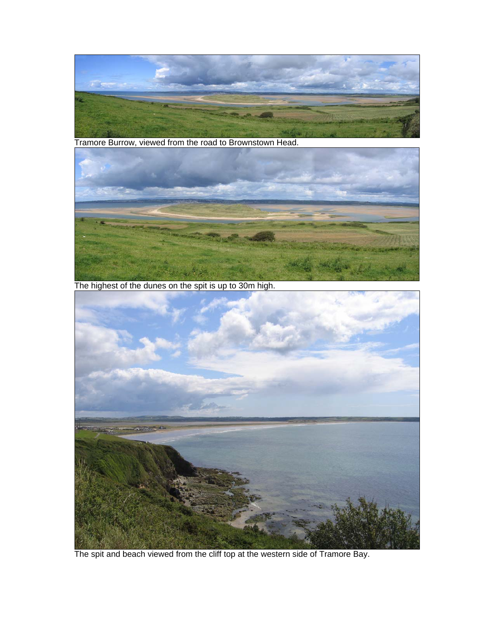

Tramore Burrow, viewed from the road to Brownstown Head.



The highest of the dunes on the spit is up to 30m high.



The spit and beach viewed from the cliff top at the western side of Tramore Bay.